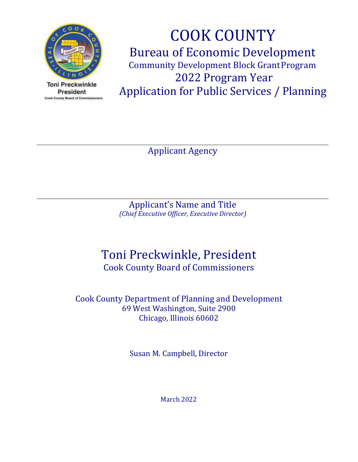

**Toni Preckwinkle President** Cook County Board of Commissioners

COOK COUNTY Bureau of Economic Development Community Development Block Grant Program 2022 Program Year Application for Public Services / Planning

Applicant Agency

Applicant's Name and Title *(Chief Executive Officer, Executive Director)*

# Toni Preckwinkle, President Cook County Board of Commissioners

Cook County Department of Planning and Development 69 West Washington, Suite 2900 Chicago, Illinois 60602

Susan M. Campbell, Director

March 2022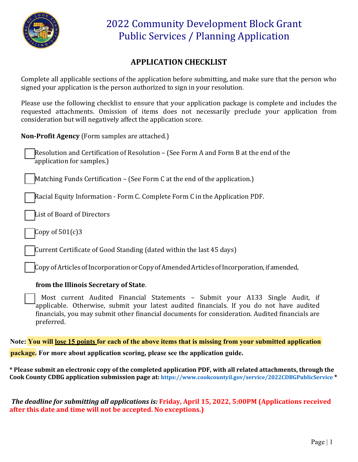

### **APPLICATION CHECKLIST**

Complete all applicable sections of the application before submitting, and make sure that the person who signed your application is the person authorized to sign in your resolution.

Please use the following checklist to ensure that your application package is complete and includes the requested attachments. Omission of items does not necessarily preclude your application from consideration but will negatively affect the application score.

**Non‐Profit Agency** (Form samples are attached.)

Resolution and Certification of Resolution – (See Form A and Form B at the end of the application for samples.)

Matching Funds Certification – (See Form C at the end of the application.)

Racial Equity Information ‐ Form C. Complete Form C in the Application PDF.

List of Board of Directors

Copy of  $501(c)3$ 

Current Certificate of Good Standing (dated within the last 45 days)

CopyofArticles of Incorporation orCopyofAmendedArticlesofIncorporation,if amended,

#### **from the Illinois Secretary of State**.

Most current Audited Financial Statements – Submit your A133 Single Audit, if applicable. Otherwise, submit your latest audited financials. If you do not have audited financials, you may submit other financial documents for consideration. Audited financials are preferred.

**Note: You will lose 15 points for each of the above items that is missing from your submitted application** 

**package. For more about application scoring, please see the application guide.** 

**\* Please submit an electronic copy of the completed application PDF, with all related attachments, through the Cook County CDBG application submission page at: <https://www.cookcountyil.gov/service/2022CDBGPublicService> \***

*The deadline for submitting all applications is:* **Friday, April 15, 2022, 5:00PM (Applications received after this date and time will not be accepted. No exceptions.)**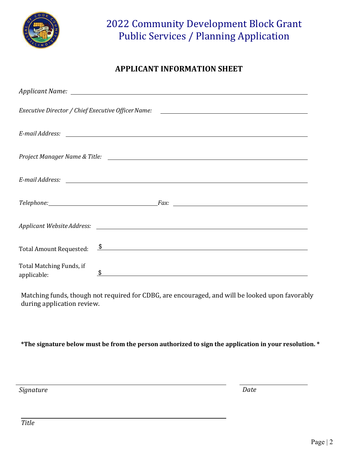

### **APPLICANT INFORMATION SHEET**

|                                         | Executive Director / Chief Executive Officer Name: ______________________________                                                                                                                                             |
|-----------------------------------------|-------------------------------------------------------------------------------------------------------------------------------------------------------------------------------------------------------------------------------|
|                                         |                                                                                                                                                                                                                               |
|                                         |                                                                                                                                                                                                                               |
|                                         |                                                                                                                                                                                                                               |
|                                         | Telephone: The Contract Contract Contract Contract Contract Contract Contract Contract Contract Contract Contract Contract Contract Contract Contract Contract Contract Contract Contract Contract Contract Contract Contract |
|                                         |                                                                                                                                                                                                                               |
|                                         | Total Amount Requested: \$                                                                                                                                                                                                    |
| Total Matching Funds, if<br>applicable: | \$<br><u> 1980 - Andrea State Barbara, amerikan personal (h. 1980).</u>                                                                                                                                                       |

Matching funds, though not required for CDBG, are encouraged, and will be looked upon favorably during application review.

**\*The signature below must be from the person authorized to sign the application in your resolution. \***

*Signature Date*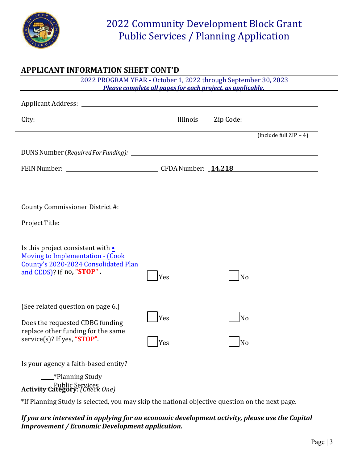

### **APPLICANT INFORMATION SHEET CONT'D**

|                                                                                                                                                   | 2022 PROGRAM YEAR - October 1, 2022 through September 30, 2023<br>Please complete all pages for each project, as applicable. |           |                           |
|---------------------------------------------------------------------------------------------------------------------------------------------------|------------------------------------------------------------------------------------------------------------------------------|-----------|---------------------------|
|                                                                                                                                                   |                                                                                                                              |           |                           |
| City:                                                                                                                                             | Illinois                                                                                                                     | Zip Code: |                           |
|                                                                                                                                                   |                                                                                                                              |           | (include full $ZIP + 4$ ) |
|                                                                                                                                                   |                                                                                                                              |           |                           |
|                                                                                                                                                   |                                                                                                                              |           |                           |
|                                                                                                                                                   |                                                                                                                              |           |                           |
| County Commissioner District #: _____________                                                                                                     |                                                                                                                              |           |                           |
|                                                                                                                                                   |                                                                                                                              |           |                           |
| Is this project consistent with •<br><b>Moving to Implementation - (Cook</b><br>County's 2020-2024 Consolidated Plan<br>and CEDS)? If no, "STOP". | Yes                                                                                                                          | No        |                           |
| (See related question on page 6.)<br>Does the requested CDBG funding<br>replace other funding for the same<br>service(s)? If yes, "STOP".         | Yes<br>Yes                                                                                                                   | No<br>No  |                           |
| Is your agency a faith-based entity?<br>__*Planning Study<br>Public Services<br><b>Activity Category</b> : (Check One)                            |                                                                                                                              |           |                           |

\*If Planning Study is selected, you may skip the national objective question on the next page.

### *If you are interested in applying for an economic development activity, please use the Capital Improvement / Economic Development application.*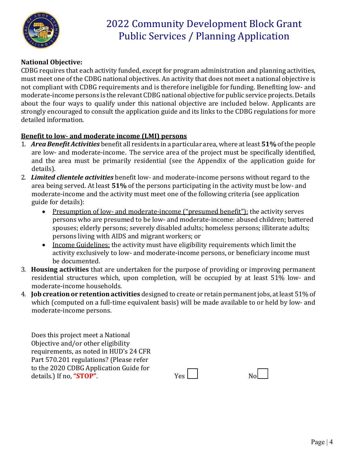

### **National Objective:**

CDBG requires that each activity funded, except for program administration and planning activities, must meet one of the CDBG national objectives. An activity that does not meet a national objective is not compliant with CDBG requirements and is therefore ineligible for funding. Benefiting low- and moderate-income persons is the relevant CDBG national objective for public service projects.Details about the four ways to qualify under this national objective are included below. Applicants are strongly encouraged to consult the application guide and its links to the CDBG regulations for more detailed information.

#### **Benefit to low- and moderate income (LMI) persons**

- 1. *Area Benefit Activities* benefit all residents in a particular area, where at least **51%**ofthe people are low- and moderate-income. The service area of the project must be specifically identified, and the area must be primarily residential (see the Appendix of the application guide for details).
- 2. *Limited clientele activities* benefit low- and moderate-income persons without regard to the area being served. At least **51%** of the persons participating in the activity must be low- and moderate-income and the activity must meet one of the following criteria (see application guide for details):
	- Presumption of low- and moderate-income ("presumed benefit"): the activity serves persons who are presumed to be low- and moderate-income: abused children; battered spouses; elderly persons; severely disabled adults; homeless persons; illiterate adults; persons living with AIDS and migrant workers; or
	- Income Guidelines: the activity must have eligibility requirements which limit the activity exclusively to low- and moderate-income persons, or beneficiary income must be documented.
- 3. **Housing activities** that are undertaken for the purpose of providing or improving permanent residential structures which, upon completion, will be occupied by at least 51% low- and moderate-income households.
- 4. **Job creation or retention activities** designed to create or retain permanent jobs, atleast 51% of which (computed on a full-time equivalent basis) will be made available to or held by low- and moderate-income persons.

Does this project meet a National Objective and/or other eligibility requirements, as noted in HUD's 24 CFR Part 570.201 regulations? (Please refer to the 2020 CDBG Application Guide for details.) If no, "**STOP**". Y

| 'es l |  | No |
|-------|--|----|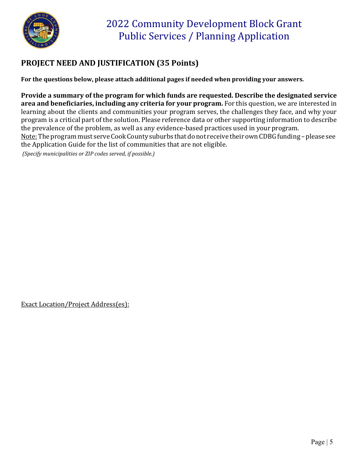

## **PROJECT NEED AND JUSTIFICATION (35 Points)**

**For the questions below, please attach additional pages if needed when providing your answers.**

**Provide a summary of the program for which funds are requested. Describe the designated service area and beneficiaries, including any criteria for your program.** For this question, we are interested in learning about the clients and communities your program serves, the challenges they face, and why your program is a critical part of the solution. Please reference data or other supporting information to describe the prevalence of the problem, as well as any evidence-based practices used in your program. Note: The program must serve Cook County suburbs that do not receive their own CDBG funding - please see the Application Guide for the list of communities that are not eligible.

*(Specify municipalities or ZIP codes served, if possible.)*

Exact Location/Project Address(es):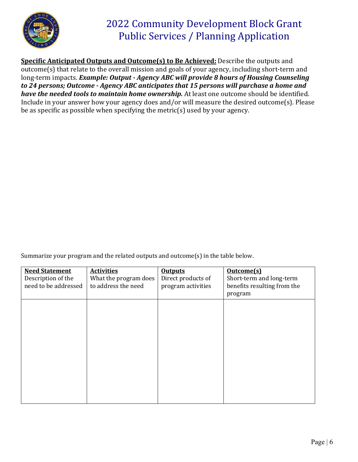

**Specific Anticipated Outputs and Outcome(s) to Be Achieved:** Describe the outputs and outcome(s) that relate to the overall mission and goals of your agency, including short-term and long-term impacts. *Example: Output - Agency ABC will provide 8 hours of Housing Counseling to 24 persons; Outcome - Agency ABC anticipates that 15 persons will purchase a home and have the needed tools to maintain home ownership.* At least one outcome should be identified. Include in your answer how your agency does and/or will measure the desired outcome(s). Please be as specific as possible when specifying the metric(s) used by your agency.

Summarize your program and the related outputs and outcome(s) in the table below.

| <b>Need Statement</b><br>Description of the<br>need to be addressed | <b>Activities</b><br>What the program does<br>to address the need | <b>Outputs</b><br>Direct products of<br>program activities | Outcome(s)<br>Short-term and long-term<br>benefits resulting from the<br>program |
|---------------------------------------------------------------------|-------------------------------------------------------------------|------------------------------------------------------------|----------------------------------------------------------------------------------|
|                                                                     |                                                                   |                                                            |                                                                                  |
|                                                                     |                                                                   |                                                            |                                                                                  |
|                                                                     |                                                                   |                                                            |                                                                                  |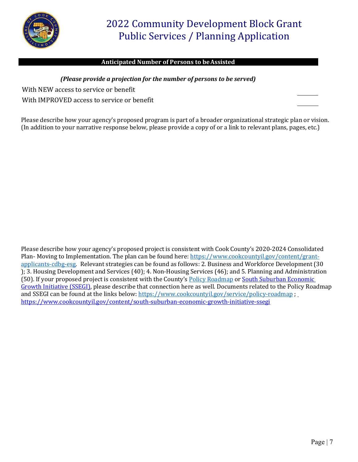

#### **Anticipated Number of Persons to beAssisted**

#### *(Please provide a projection for the number of persons to be served)*

With NEW access to service or benefit

With IMPROVED access to service or benefit

Please describe how your agency's proposed program is part of a broader organizational strategic plan or vision. (In addition to your narrative response below, please provide a copy of or a link to relevant plans, pages, etc.)

Please describe how your agency's proposed project is consistent with Cook County's 2020‐2024 Consolidated Plan- Moving to Implementation. The plan can be found here: [https://www.cookcountyil.gov/content/grant](https://www.cookcountyil.gov/content/grant-applicants-cdbg-esg)[applicants-cdbg-esg.](https://www.cookcountyil.gov/content/grant-applicants-cdbg-esg) Relevant strategies can be found as follows: 2. Business and Workforce Development (30 ); 3. Housing Development and Services (40); 4. Non-Housing Services (46); and 5. Planning and Administration (50). If your proposed project is consistent with the County's [Policy Roadmap](https://www.cookcountyil.gov/service/policy-roadmap) or South Suburban Economic Growth Initiative (SSEGI), please describe that connection here as well. Documents related to the Policy Roadmap and SSEGI can be found at the links below[: https://www.cookcountyil.gov/service/policy-roadmap](https://www.cookcountyil.gov/service/policy-roadmap) ; https://www.cookcountyil.gov/content/south-suburban-economic-growth-initiative-ssegi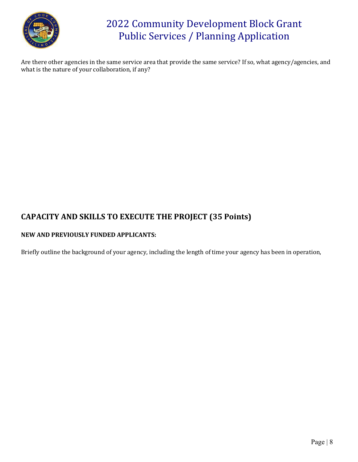

Are there other agencies in the same service area that provide the same service? If so, what agency/agencies, and what is the nature of your collaboration, if any?

### **CAPACITY AND SKILLS TO EXECUTE THE PROJECT (35 Points)**

#### **NEW AND PREVIOUSLY FUNDED APPLICANTS:**

Briefly outline the background of your agency, including the length of time your agency has been in operation,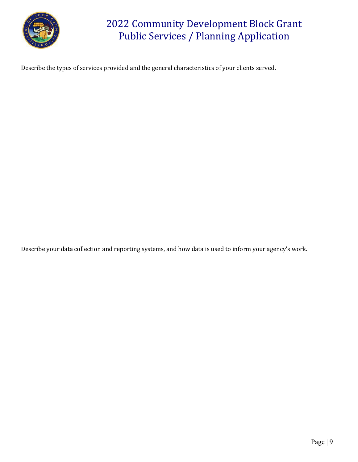

Describe the types of services provided and the general characteristics of your clients served.

Describe your data collection and reporting systems, and how data is used to inform your agency's work.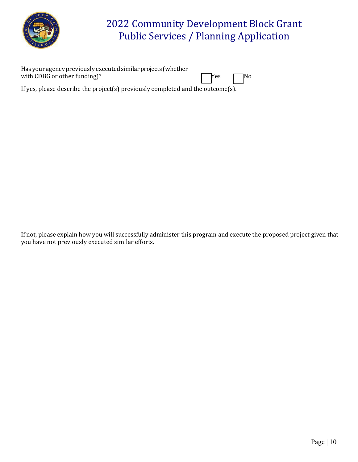

| Has your agency previously executed similar projects (whether                   |                                                                        |  |
|---------------------------------------------------------------------------------|------------------------------------------------------------------------|--|
| with CDBG or other funding)?                                                    | $\begin{array}{ c c c c c } \hline \text{Yes} & \text{No} \end{array}$ |  |
| If yes, please describe the project(s) previously completed and the outcome(s). |                                                                        |  |

If not, please explain how you will successfully administer this program and execute the proposed project given that you have not previously executed similar efforts.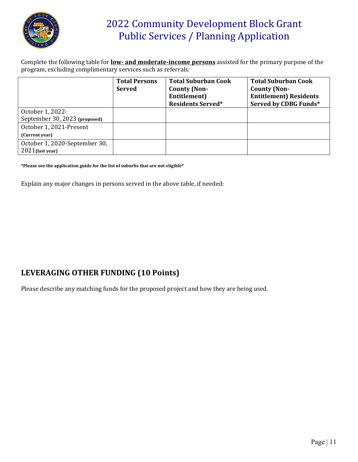

Complete the following table for **low- and moderate-income persons** assisted for the primary purpose of the program, excluding complimentary services such as referrals:

|                                                   | <b>Total Persons</b><br><b>Served</b> | <b>Total Suburban Cook</b><br><b>County (Non-</b><br>Entitlement)<br><b>Residents Served*</b> | <b>Total Suburban Cook</b><br><b>County (Non-</b><br><b>Entitlement) Residents</b><br>Served by CDBG Funds* |
|---------------------------------------------------|---------------------------------------|-----------------------------------------------------------------------------------------------|-------------------------------------------------------------------------------------------------------------|
| October 1, 2022-<br>September 30, 2023 (proposed) |                                       |                                                                                               |                                                                                                             |
| October 1, 2021-Present                           |                                       |                                                                                               |                                                                                                             |
| (Current year)<br>October 1, 2020-September 30,   |                                       |                                                                                               |                                                                                                             |
| $2021$ (last year)                                |                                       |                                                                                               |                                                                                                             |

**\*Please see the application guide for the list of suburbs that are not eligible\***

Explain any major changes in persons served in the above table, if needed:

### **LEVERAGING OTHER FUNDING (10 Points)**

Please describe any matching funds for the proposed project and how they are being used.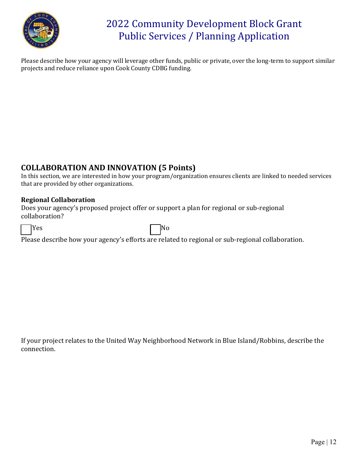

Please describe how your agency will leverage other funds, public or private, over the long-term to support similar projects and reduce reliance upon Cook County CDBG funding.

### **COLLABORATION AND INNOVATION (5 Points)**

In this section, we are interested in how your program/organization ensures clients are linked to needed services that are provided by other organizations.

### **Regional Collaboration**

Does your agency's proposed project offer or support a plan for regional or sub-regional collaboration?

|  |  | ×<br>۰. |  |
|--|--|---------|--|
|--|--|---------|--|

Yes and the set of the No. of the No. of the No. of the No. of the No. of the No. of the No. of the No. of the No. of the No. of the No. of the No. of the No. of the No. of the No. of the No. of the No. of the No. of the N

Please describe how your agency's efforts are related to regional or sub-regional collaboration.

If your project relates to the United Way Neighborhood Network in Blue Island/Robbins, describe the connection.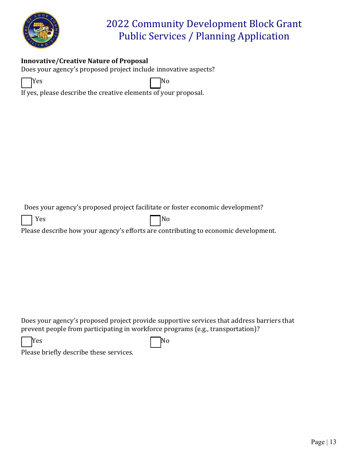

### **Innovative/Creative Nature of Proposal**

Does your agency's proposed project include innovative aspects?

Yes No. 2012 11 No. 2014 If yes, please describe the creative elements of your proposal*.* 

Does your agency's proposed project facilitate or foster economic development?



Please describe how your agency's efforts are contributing to economic development.

Does your agency's proposed project provide supportive services that address barriers that prevent people from participating in workforce programs (e.g., transportation)?

| Yes | $\Box$ No |
|-----|-----------|
|-----|-----------|

Please briefly describe these services.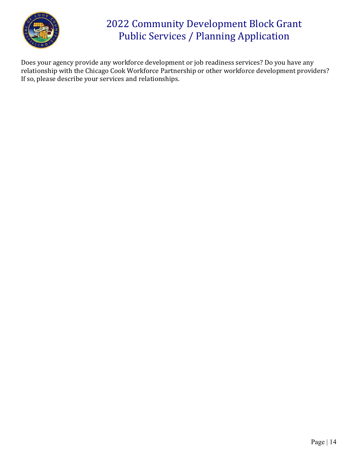

Does your agency provide any workforce development or job readiness services? Do you have any relationship with the Chicago Cook Workforce Partnership or other workforce development providers? If so, please describe your services and relationships.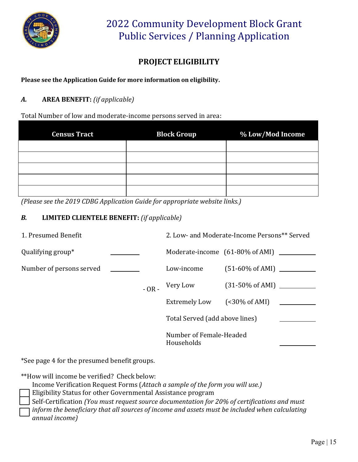

## **PROJECT ELIGIBILITY**

**Please see the Application Guide for more information on eligibility.**

### *A.* **AREA BENEFIT:** *(if applicable)*

Total Number of low and moderate-income persons served in area:

| <b>Census Tract</b> | <b>Block Group</b> | % Low/Mod Income |
|---------------------|--------------------|------------------|
|                     |                    |                  |
|                     |                    |                  |
|                     |                    |                  |
|                     |                    |                  |
|                     |                    |                  |

*(Please see the 2019 CDBG Application Guide for appropriate website links.)*

### *B.* **LIMITED CLIENTELE BENEFIT:** *(if applicable)*

| 1. Presumed Benefit      |         |                                       | 2. Low- and Moderate-Income Persons** Served  |
|--------------------------|---------|---------------------------------------|-----------------------------------------------|
| Qualifying group*        |         |                                       | Moderate-income $(61-80\% \text{ of AMI})$ __ |
| Number of persons served |         | Low-income                            | $(51-60\% \text{ of AMI})$                    |
|                          | $-OR -$ | Very Low                              |                                               |
|                          |         | <b>Extremely Low</b>                  | (                                             |
|                          |         | Total Served (add above lines)        |                                               |
|                          |         | Number of Female-Headed<br>Households |                                               |

\*See page 4 for the presumed benefit groups.

\*\*How will income be verified? Check below:

- Income Verification Request Forms (*Attach a sample of the form you will use.)*
- Eligibility Status for other Governmental Assistance program
- Self-Certification *(You must request source documentation for 20% of certifications and must*
- *inform the beneficiary that all sources of income and assets must be included when calculating*
- *annual income)*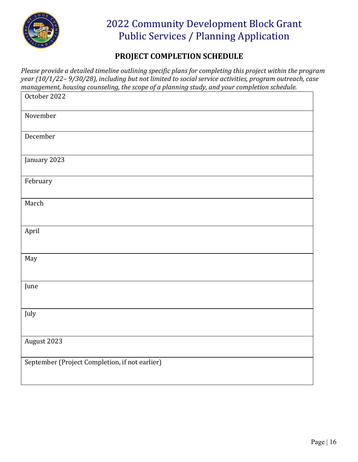

### **PROJECT COMPLETION SCHEDULE**

*Please provide a detailed timeline outlining specific plans for completing this project within the program year (10/1/22– 9/30/28), including but not limited to social service activities, program outreach, case management, housing counseling, the scope of a planning study, and your completion schedule.*

| October 2022                                   |
|------------------------------------------------|
| November                                       |
| December                                       |
| January 2023                                   |
| February                                       |
| March                                          |
| April                                          |
| May                                            |
| June                                           |
| July                                           |
| August 2023                                    |
| September (Project Completion, if not earlier) |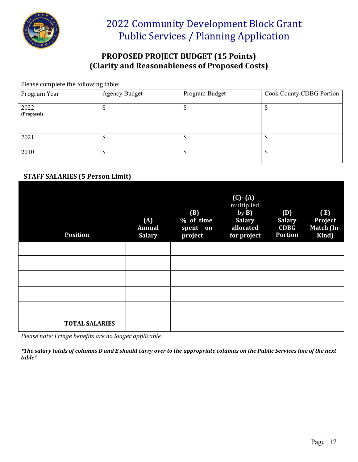

### **PROPOSED PROJECT BUDGET (15 Points) (Clarity and Reasonableness of Proposed Costs)**

Please complete the following table:

| Program Year       | <b>Agency Budget</b> | Program Budget | Cook County CDBG Portion |
|--------------------|----------------------|----------------|--------------------------|
| 2022<br>(Proposed) |                      | Φ              |                          |
| 2021               |                      | Φ              |                          |
| 2010               |                      | \$             |                          |

### **STAFF SALARIES (5 Person Limit)**

| <b>Position</b>       | (A)<br>Annual<br><b>Salary</b> | (B)<br>% of time<br>spent on<br>project | $(C)$ $\cdot$ $(A)$<br>multiplied<br>by $B$ )<br><b>Salary</b><br>allocated<br>for project | (D)<br><b>Salary</b><br><b>CDBG</b><br>Portion | (E)<br>Project<br>Match (In-<br>Kind) |
|-----------------------|--------------------------------|-----------------------------------------|--------------------------------------------------------------------------------------------|------------------------------------------------|---------------------------------------|
|                       |                                |                                         |                                                                                            |                                                |                                       |
|                       |                                |                                         |                                                                                            |                                                |                                       |
|                       |                                |                                         |                                                                                            |                                                |                                       |
|                       |                                |                                         |                                                                                            |                                                |                                       |
|                       |                                |                                         |                                                                                            |                                                |                                       |
| <b>TOTAL SALARIES</b> |                                |                                         |                                                                                            |                                                |                                       |

*Please note: Fringe benefits are no longer applicable.*

*\*The salary totals of columns D and E should carry over to the appropriate columns on the Public Services line of the next table\**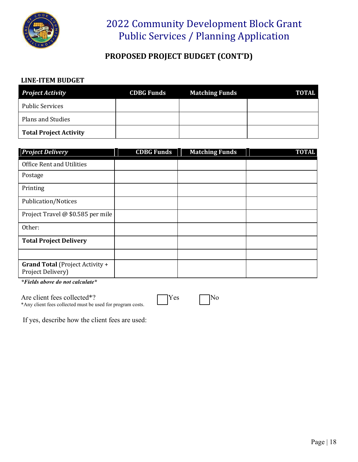

### **PROPOSED PROJECT BUDGET (CONT'D)**

#### **LINE-ITEM BUDGET**

| <b>Project Activity</b>       | <b>CDBG Funds</b> | <b>Matching Funds</b> | <b>TOTAL</b> |
|-------------------------------|-------------------|-----------------------|--------------|
| <b>Public Services</b>        |                   |                       |              |
| Plans and Studies             |                   |                       |              |
| <b>Total Project Activity</b> |                   |                       |              |

| <b>Project Delivery</b>                                     | <b>CDBG Funds</b> | <b>Matching Funds</b> | <b>TOTAL</b> |
|-------------------------------------------------------------|-------------------|-----------------------|--------------|
| <b>Office Rent and Utilities</b>                            |                   |                       |              |
| Postage                                                     |                   |                       |              |
| Printing                                                    |                   |                       |              |
| <b>Publication/Notices</b>                                  |                   |                       |              |
| Project Travel @ \$0.585 per mile                           |                   |                       |              |
| Other:                                                      |                   |                       |              |
| <b>Total Project Delivery</b>                               |                   |                       |              |
|                                                             |                   |                       |              |
| <b>Grand Total</b> (Project Activity +<br>Project Delivery) |                   |                       |              |

*\*Fields above do not calculate\**

Are client fees collected\*? The No \*Any client fees collected must be used for program costs.



If yes, describe how the client fees are used: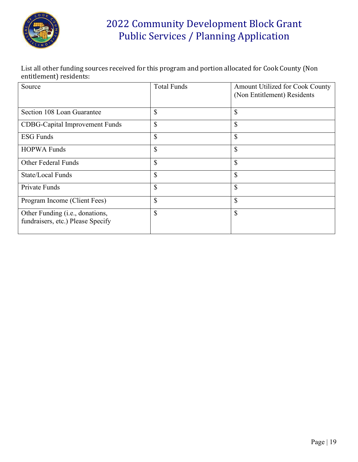

List all other funding sources received for this program and portion allocated for Cook County (Non entitlement) residents:

| Source                                                                        | <b>Total Funds</b> | Amount Utilized for Cook County<br>(Non Entitlement) Residents |
|-------------------------------------------------------------------------------|--------------------|----------------------------------------------------------------|
| Section 108 Loan Guarantee                                                    | \$                 | \$                                                             |
| <b>CDBG-Capital Improvement Funds</b>                                         | \$                 | \$                                                             |
| <b>ESG Funds</b>                                                              | \$                 | \$                                                             |
| <b>HOPWA Funds</b>                                                            | \$                 | \$                                                             |
| <b>Other Federal Funds</b>                                                    | \$                 | \$                                                             |
| State/Local Funds                                                             | \$                 | \$                                                             |
| <b>Private Funds</b>                                                          | \$                 | $\mathbb{S}$                                                   |
| Program Income (Client Fees)                                                  | \$                 | $\mathbb{S}$                                                   |
| Other Funding ( <i>i.e.</i> , donations,<br>fundraisers, etc.) Please Specify | \$                 | \$                                                             |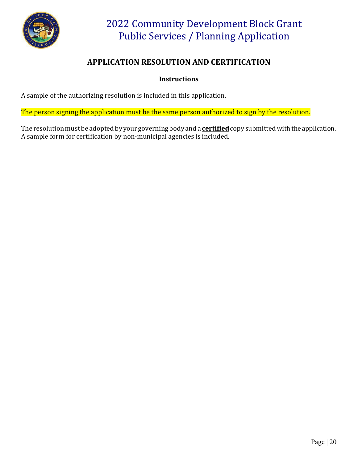

### **APPLICATION RESOLUTION AND CERTIFICATION**

### **Instructions**

A sample of the authorizing resolution is included in this application.

The person signing the application must be the same person authorized to sign by the resolution.

The resolution must be adopted by your governing body and a **certified** copy submitted with the application. A sample form for certification by non-municipal agencies is included.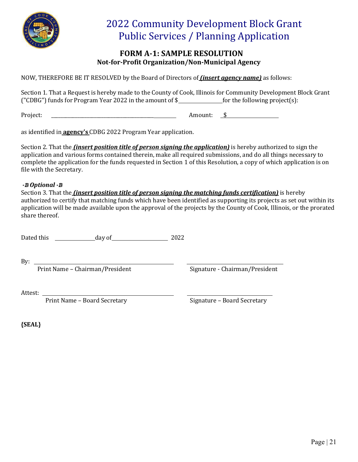

### **FORM A-1: SAMPLE RESOLUTION Not-for-Profit Organization/Non-Municipal Agency**

NOW, THEREFORE BE IT RESOLVED by the Board of Directors of *(insert agency name)* as follows:

Section 1. That a Request is hereby made to the County of Cook, Illinois for Community Development Block Grant ("CDBG") funds for Program Year 2022 in the amount of  $\$\$ for the following project(s):

Project: \_\_\_\_\_\_\_\_\_\_\_\_\_\_\_\_\_\_\_\_\_\_\_\_\_\_\_\_\_\_\_\_\_\_\_\_\_\_\_\_\_\_\_ Amount: \$

as identified in **agency's** CDBG 2022 Program Year application.

Section 2. That the *(insert position title of person signing the application)* is hereby authorized to sign the application and various forms contained therein, make all required submissions, and do all things necessary to complete the application for the funds requested in Section 1 of this Resolution, a copy of which application is on file with the Secretary.

#### *-B Optional -B*

Section 3. That the *(insert position title of person signing the matching funds certification)* is hereby authorized to certify that matching funds which have been identified as supporting its projects as set out within its application will be made available upon the approval of the projects by the County of Cook, Illinois, or the prorated share thereof.

Dated this day of 2022

By:

Print Name – Chairman/President Signature - Chairman/President

Attest:

Print Name – Board Secretary Signature – Board Secretary

**{SEAL}**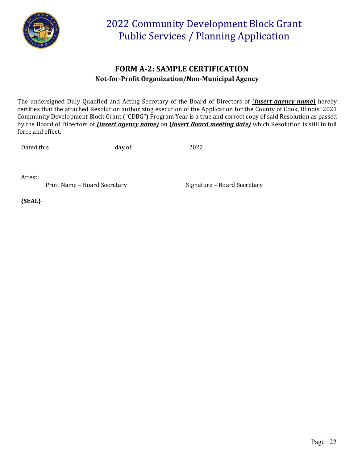

### **FORM A-2: SAMPLE CERTIFICATION Not-for-Profit Organization/Non-Municipal Agency**

The undersigned Duly Qualified and Acting Secretary of the Board of Directors of (*insert agency name)* hereby certifies that the attached Resolution authorizing execution of the Application for the County of Cook, Illinois' 2021 Community Development Block Grant ("CDBG") Program Year is a true and correct copy of said Resolution as passed by the Board of Directors of *(insert agency name)* on (*insert Board meeting date)* which Resolution is still in full force and effect.

Dated this day of 2022

Attest:

Print Name – Board Secretary **Signature – Board Secretary** 

**{SEAL}**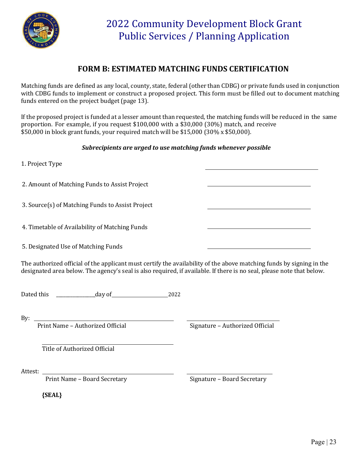

### **FORM B: ESTIMATED MATCHING FUNDS CERTIFICATION**

Matching funds are defined as any local, county, state, federal (other than CDBG) or private funds used in conjunction with CDBG funds to implement or construct a proposed project. This form must be filled out to document matching funds entered on the project budget (page 13).

If the proposed project is funded at a lesser amount than requested, the matching funds will be reduced in the same proportion. For example, if you request \$100,000 with a \$30,000 (30%) match, and receive \$50,000 in block grant funds, your required match will be \$15,000 (30% x \$50,000).

#### *Subrecipients are urged to use matching funds whenever possible*

| 1. Project Type                                  |  |
|--------------------------------------------------|--|
| 2. Amount of Matching Funds to Assist Project    |  |
| 3. Source(s) of Matching Funds to Assist Project |  |
| 4. Timetable of Availability of Matching Funds   |  |
| 5. Designated Use of Matching Funds              |  |

The authorized official of the applicant must certify the availability of the above matching funds by signing in the designated area below. The agency's seal is also required, if available. If there is no seal, please note that below.

Dated this \_\_\_\_\_\_\_\_\_\_\_\_\_\_\_\_\_day of 2022

By:

Print Name – Authorized Official Signature – Authorized Official

Title of Authorized Official

Attest:

Print Name – Board Secretary Signature – Board Secretary

**{SEAL}**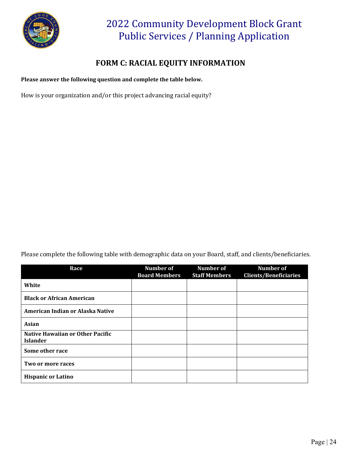

### **FORM C: RACIAL EQUITY INFORMATION**

**Please answer the following question and complete the table below.**

How is your organization and/or this project advancing racial equity?

Please complete the following table with demographic data on your Board, staff, and clients/beneficiaries.

| Race                                                       | Number of            | Number of            | Number of                    |
|------------------------------------------------------------|----------------------|----------------------|------------------------------|
|                                                            | <b>Board Members</b> | <b>Staff Members</b> | <b>Clients/Beneficiaries</b> |
| White                                                      |                      |                      |                              |
| <b>Black or African American</b>                           |                      |                      |                              |
| American Indian or Alaska Native                           |                      |                      |                              |
| <b>Asian</b>                                               |                      |                      |                              |
| <b>Native Hawaiian or Other Pacific</b><br><b>Islander</b> |                      |                      |                              |
| Some other race                                            |                      |                      |                              |
| Two or more races                                          |                      |                      |                              |
| <b>Hispanic or Latino</b>                                  |                      |                      |                              |